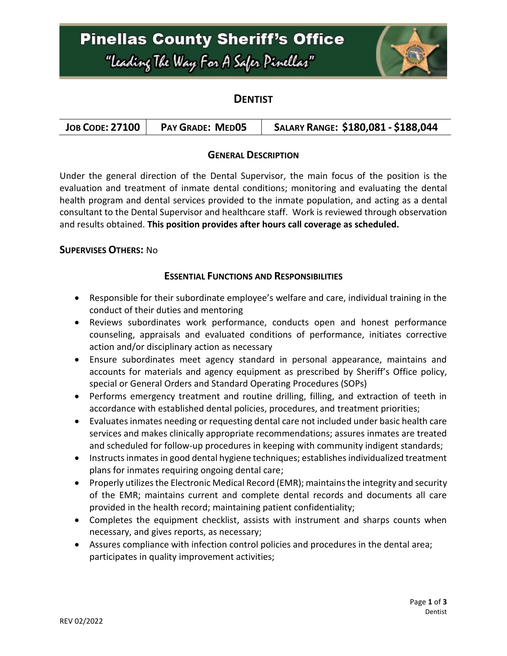## **Pinellas County Sheriff's Office** "Leading The Way For A Safer Pinellar"



### **DENTIST**

|--|

### **GENERAL DESCRIPTION**

Under the general direction of the Dental Supervisor, the main focus of the position is the evaluation and treatment of inmate dental conditions; monitoring and evaluating the dental health program and dental services provided to the inmate population, and acting as a dental consultant to the Dental Supervisor and healthcare staff. Work is reviewed through observation and results obtained. **This position provides after hours call coverage as scheduled.**

#### **SUPERVISES OTHERS:** No

#### **ESSENTIAL FUNCTIONS AND RESPONSIBILITIES**

- Responsible for their subordinate employee's welfare and care, individual training in the conduct of their duties and mentoring
- Reviews subordinates work performance, conducts open and honest performance counseling, appraisals and evaluated conditions of performance, initiates corrective action and/or disciplinary action as necessary
- Ensure subordinates meet agency standard in personal appearance, maintains and accounts for materials and agency equipment as prescribed by Sheriff's Office policy, special or General Orders and Standard Operating Procedures (SOPs)
- Performs emergency treatment and routine drilling, filling, and extraction of teeth in accordance with established dental policies, procedures, and treatment priorities;
- Evaluates inmates needing or requesting dental care not included under basic health care services and makes clinically appropriate recommendations; assures inmates are treated and scheduled for follow-up procedures in keeping with community indigent standards;
- Instructs inmates in good dental hygiene techniques; establishes individualized treatment plans for inmates requiring ongoing dental care;
- Properly utilizes the Electronic Medical Record (EMR); maintains the integrity and security of the EMR; maintains current and complete dental records and documents all care provided in the health record; maintaining patient confidentiality;
- Completes the equipment checklist, assists with instrument and sharps counts when necessary, and gives reports, as necessary;
- Assures compliance with infection control policies and procedures in the dental area; participates in quality improvement activities;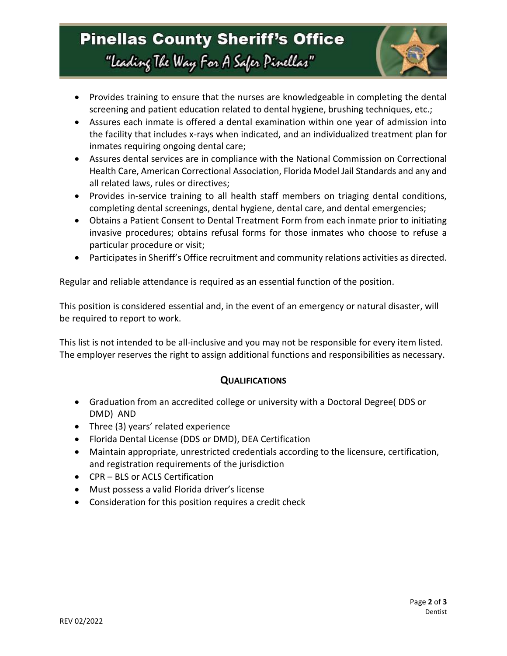## **Pinellas County Sheriff's Office** "Leading The Way For A Safer Pinellar"



- Provides training to ensure that the nurses are knowledgeable in completing the dental screening and patient education related to dental hygiene, brushing techniques, etc.;
- Assures each inmate is offered a dental examination within one year of admission into the facility that includes x-rays when indicated, and an individualized treatment plan for inmates requiring ongoing dental care;
- Assures dental services are in compliance with the National Commission on Correctional Health Care, American Correctional Association, Florida Model Jail Standards and any and all related laws, rules or directives;
- Provides in-service training to all health staff members on triaging dental conditions, completing dental screenings, dental hygiene, dental care, and dental emergencies;
- Obtains a Patient Consent to Dental Treatment Form from each inmate prior to initiating invasive procedures; obtains refusal forms for those inmates who choose to refuse a particular procedure or visit;
- Participates in Sheriff's Office recruitment and community relations activities as directed.

Regular and reliable attendance is required as an essential function of the position.

This position is considered essential and, in the event of an emergency or natural disaster, will be required to report to work.

This list is not intended to be all-inclusive and you may not be responsible for every item listed. The employer reserves the right to assign additional functions and responsibilities as necessary.

### **QUALIFICATIONS**

- Graduation from an accredited college or university with a Doctoral Degree( DDS or DMD) AND
- Three (3) years' related experience
- Florida Dental License (DDS or DMD), DEA Certification
- Maintain appropriate, unrestricted credentials according to the licensure, certification, and registration requirements of the jurisdiction
- CPR BLS or ACLS Certification
- Must possess a valid Florida driver's license
- Consideration for this position requires a credit check